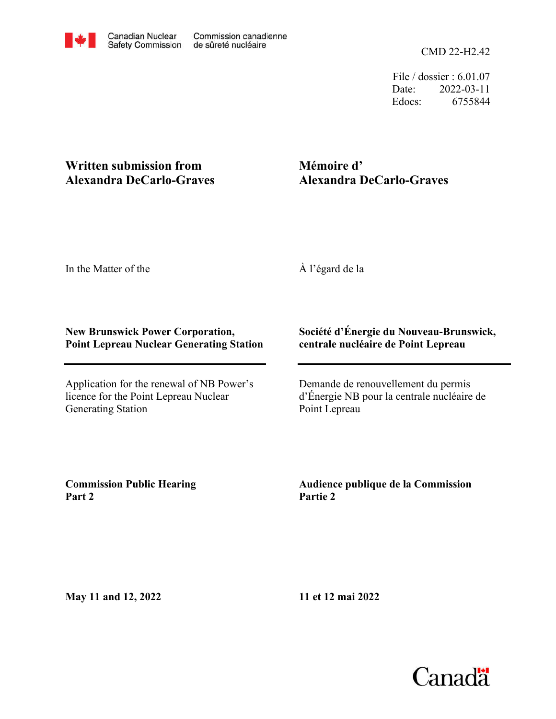CMD 22-H2.42

File / dossier : 6.01.07 Date: 2022-03-11 Edocs: 6755844

## **Written submission from Alexandra DeCarlo-Graves**

## **Mémoire d' Alexandra DeCarlo-Graves**

In the Matter of the

À l'égard de la

## **New Brunswick Power Corporation, Point Lepreau Nuclear Generating Station**

Application for the renewal of NB Power's licence for the Point Lepreau Nuclear Generating Station

## **Société d'Énergie du Nouveau-Brunswick, centrale nucléaire de Point Lepreau**

Demande de renouvellement du permis d'Énergie NB pour la centrale nucléaire de Point Lepreau

**Commission Public Hearing Part 2**

**Audience publique de la Commission Partie 2**

**May 11 and 12, 2022**

**11 et 12 mai 2022**